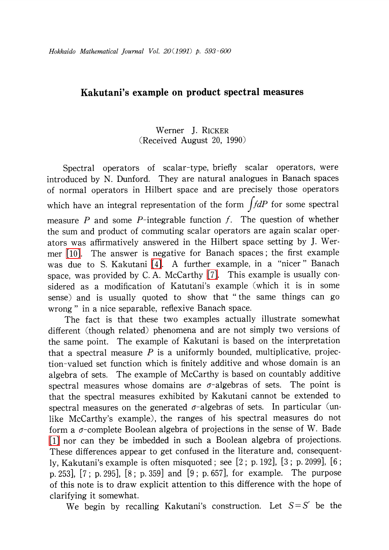## Kakutani's example on product spectral measures

## Werner J. RICKER (Received August 20, 1990)

Spectral operators of scalar-type, briefly scalar operators, were introduced by N. Dunford. They are natural analogues in Banach spaces of normal operators in Hilbert space and are precisely those operators which have an integral representation of the form  $\int f dP$  for some spectral measure  $P$  and some  $P$ -integrable function  $f$ . The question of whether the sum and product of commuting scalar operators are again scalar operators was affirmatively answered in the Hilbert space setting by J. Wermer [\[10\].](#page-7-0) The answer is negative for Banach spaces: the first example was due to S. Kakutani [\[4\].](#page-7-1) <sup>A</sup> further example, in <sup>a</sup> "nicer " Banach space, was provided by C. A. McCarthy [\[7\].](#page-7-2) This example is usually considered as <sup>a</sup> modification of Katutani's example (which it is in some sense) and is usually quoted to show that " the same things can go wrong " in a nice separable, reflexive Banach space.

The fact is that these two examples actually illustrate somewhat different (though related) phenomena and are not simply two versions of the same point. The example of Kakutani is based on the interpretation that a spectral measure  $P$  is a uniformly bounded, multiplicative, projection-valued set function which is finitely additive and whose domain is an algebra of sets. The example of McCarthy is based on countably additive spectral measures whose domains are  $\sigma$ -algebras of sets. The point is that the spectral measures exhibited by Kakutani cannot be extended to spectral measures on the generated  $\sigma$ -algebras of sets. In particular (unlike McCarthy's example), the ranges of his spectral measures do not form a  $\sigma$ -complete Boolean algebra of projections in the sense of W. Bade [\[1\]](#page-7-3) nor can they be imbedded in such a Boolean algebra of projections. These differences appear to get confused in the literature and, consequently, Kakutani's example is often misquoted; see [2; p. 192], [3; p. 2099], [6; p. 253], [7; p. 295], [8; p. 359] and [9; p. 657], for example. The purpose of this note is to draw explicit attention to this difference with the hope of clarifying it somewhat.

We begin by recalling Kakutani's construction. Let  $S = S'$  be the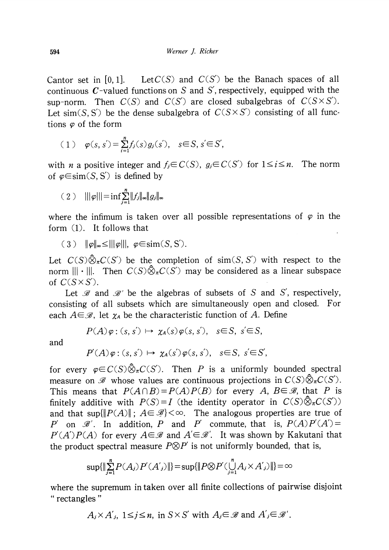Cantor set in [0, 1]. Let  $C(S)$  and  $C(S')$  be the Banach spaces of all continuous C-valued functions on S and S', respectively, equipped with the sup-norm. Then  $C(S)$  and  $C(S')$  are closed subalgebras of  $C(S\times S')$ . Let sim(S, S') be the dense subalgebra of  $C(S\times S')$  consisting of all functions  $\varphi$  of the form

$$
(1) \quad \varphi(s,s') = \sum_{i=1}^n f_j(s) g_j(s'), \quad s \in S, s' \in S',
$$

with *n* a positive integer and  $f_{j}\in C(S)$ ,  $g_{j}\in C(S')$  for  $1\leq i\leq n$ . The norm of  $\varphi \in \text{sim}(S, S')$  is defined by

$$
(2) \quad ||\varphi||| = \inf \sum_{j=1}^n ||f_j||_{\infty} ||g_j||_{\infty}
$$

where the infimum is taken over all possible representations of  $\varphi$  in the form (1). It follows that

 $(3)$   $\|\varphi\|_{\infty}\leq\|\|\varphi\|, \varphi\in\text{sim}(S, S').$ 

Let  $C(S)\hat{\otimes}_{\pi}C(S')$  be the completion of sim(S, S') with respect to the norm  $\|\|\cdot\|$ . Then  $C(S)\hat{\otimes}_{\pi}C(S')$  may be considered as a linear subspace of  $C(S\times S')$ .

Let  $\mathcal{B}$  and  $\mathcal{B}'$  be the algebras of subsets of S and S', respectively, consisting of all subsets which are simultaneously open and closed. For each  $A\mathfrak{\infty}$  as, let  $\chi_{A}$  be the characteristic function of  $A$ . Define

$$
P(A)\varphi: (s, s') \mapsto \chi_A(s)\varphi(s, s'), \quad s \in S, \ s' \in S,
$$

and

$$
P'(A)\varphi:(s,s')\mapsto \chi_A(s')\varphi(s,s'),\quad s\in S,\ s'\in S',
$$

for every  $\varphi\in C(S)\widehat{\otimes}_{\pi}C(S')$ . Then P is a uniformly bounded spectral measure on  $\mathscr{B}$  whose values are continuous projections in  $C(S)\hat{\otimes}_{\pi}C(S').$ This means that  $P(A \cap B) = P(A)P(B)$  for every A,  $B \in \mathcal{B}$ , that P is finitely additive with  $P(S)=I$  (the identity operator in  $C(S)\hat{\otimes}_{\pi}C(S')$ ) and that  $\sup\{\|P(A)\| \, ; \, A\!\in \mathscr{B}\}<\!\infty$ . The analogous properties are true of P' on  $\mathcal{B}'$ . In addition, P and P' commute, that is,  $P(A)P'(A')=$  $P'(A')P(A)$  for every  $A\!\!\in\!\mathscr{B}$  and  $A'\!\!\in\!\mathscr{B}'$ . It was shown by Kakutani that the product spectral measure  $P\otimes P'$  is not uniformly bounded, that is,

$$
\sup\{\|\sum_{j=1}^n P(A_j)P'(A')\|\} = \sup\{\|P \otimes P'(\bigcup_{j=1}^n A_j \times A')\|\} = \infty
$$

where the supremum in taken over all finite collections of pairwise disjoint " rectangles "

$$
A_j \times A'_j
$$
,  $1 \le j \le n$ , in  $S \times S'$  with  $A_j \in \mathcal{B}$  and  $A'_j \in \mathcal{B}'$ .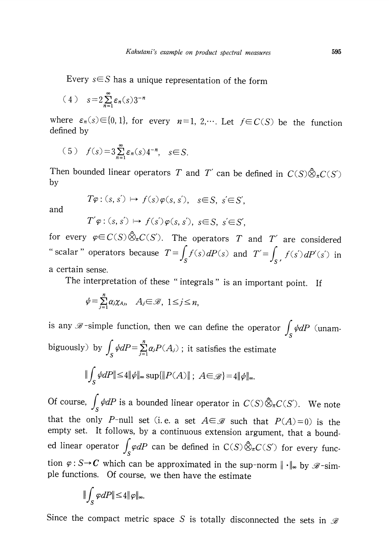Every  $s\in S$  has a unique representation of the form

$$
(4) \quad s=2\sum_{n=1}^{\infty} \varepsilon_n(s)3^{-n}
$$

where  $\varepsilon_{n}(s)\in\{0,1\}$ , for every  $n=1,2,\cdots$ . Let  $f\in C(S)$  be the function defined by

(5) 
$$
f(s) = 3 \sum_{n=1}^{\infty} \varepsilon_n(s) 4^{-n}, s \in S.
$$

Then bounded linear operators T and T' can be defined in  $C(S)\hat{\otimes}_{\pi}C(S')$ by

$$
T\varphi: (s, s') \mapsto f(s)\varphi(s, s'), \quad s \in S, \ s' \in S',
$$

and

$$
T'\varphi:(s,s')\mapsto f(s')\varphi(s,s'),\ s\in S,\ s'\in S',
$$

for every  $\varphi\!\in\! C(S)\hat\otimes_{\pi}C(S')$ . The operators  $T$  and  $T'$  are considered " scalar " operators because  $T = \int_{S} f(s) dP(s)$  and  $T' = \int_{S} f(s') dP(s')$  in a certain sense.

The interpretation of these "integrals" is an important point. If

$$
\psi = \sum_{j=1}^n \alpha_j \chi_{A_j}, \quad A_j \in \mathcal{B}, \ 1 \le j \le n,
$$

is any  $\mathscr{B}$ -simple function, then we can define the operator  $\int_{S}\psi dP$  (unambiguously) by  $\int_{S}\phi dP=\sum_{j=1}^{n}\alpha_{j}P(A_{j})$ ; it satisfies the estimate

$$
\|\int_{S} \psi dP\| \le 4 \|\psi\|_{\infty} \sup \{\|P(A)\| \, ; \, A \in \mathscr{B}\} = 4 \|\psi\|_{\infty}.
$$

Of course,  $\int_{S}\phi dP$  is a bounded linear operator in  $C(S)\hat{\otimes}_{\pi}C(S').$  We note that the only P-null set (i.e. a set  $A\in \mathcal{B}$  such that  $P(A)=0$ ) is the empty set. It follows, by a continuous extension argument, that a bounded linear operator  $\int_{S}\varphi dP$  can be defined in  $C(S)\hat{\otimes}_{\pi}C(S')$  for every function  $\varphi: S \rightarrow C$  which can be approximated in the sup-norm  $||\cdot ||_{\infty}$  by  $\mathscr{B}- \sin$ ple functions. Of course, we then have the estimate

$$
\|\int_{S}\varphi dP\|\leq 4\|\varphi\|_{\infty}.
$$

Since the compact metric space S is totally disconnected the sets in  $\mathcal{B}$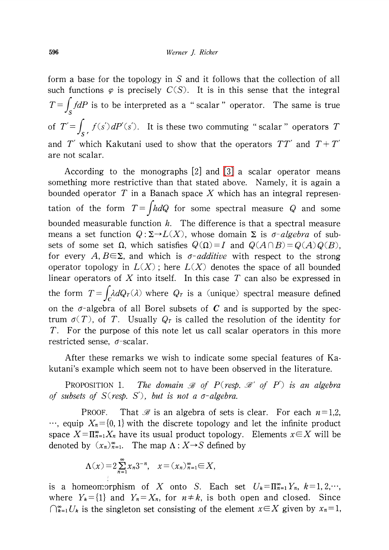form a base for the topology in S and it follows that the collection of all such functions  $\varphi$  is precisely  $C(S)$ . It is in this sense that the integral  $T= \int f dP$  is to be interpreted as a "scalar" operator. The same is true of  $T' = \int_{S} f(s') dP'(s')$ . It is these two commuting "scalar" operators T and T' which Kakutani used to show that the operators  $TT'$  and  $T+T'$ are not scalar.

According to the monographs [2] and [\[3\]](#page-7-4) a scalar operator means something more restrictive than that stated above. Namely, it is again a bounded operator  $T$  in a Banach space  $X$  which has an integral representation of the form  $T = \int h dQ$  for some spectral measure Q and some bounded measurable function  $h$ . The difference is that a spectral measure means a set function  $Q:\Sigma \rightarrow L(X)$ , whose domain  $\Sigma$  is  $\sigma$ -algebra of subsets of some set  $\Omega$ , which satisfies  $Q(\Omega)=I$  and  $Q(A\cap B)=Q(A)Q(B)$ , for every A,  $B \in \Sigma$ , and which is  $\sigma$ -additive with respect to the strong operator topology in  $L(X)$ ; here  $L(X)$  denotes the space of all bounded linear operators of  $X$  into itself. In this case  $T$  can also be expressed in the form  $T = \int_{C} \lambda dQ_{T}(\lambda)$  where  $Q_{T}$  is a (unique) spectral measure defined on the  $\sigma$ -algebra of all Borel subsets of C and is supported by the spectrum  $\sigma(T)$ , of T. Usually  $Q_{T}$  is called the resolution of the identity for  $T$ . For the purpose of this note let us call scalar operators in this more restricted sense,  $\sigma$ -scalar.

After these remarks we wish to indicate some special features of Kakutani's example which seem not to have been observed in the literature.

<span id="page-3-0"></span>PROPOSITION 1. The domain  $\mathcal{B}$  of P(resp.  $\mathcal{B}'$  of P') is an algebra of subsets of  $S(\text{resp. } S')$ , but is not a  $\sigma$ -algebra.

PROOF. That  $\mathcal{B}$  is an algebra of sets is clear. For each  $n=1,2$ , …, equip  $X_{n}=\{0,1\}$  with the discrete topology and let the infinite product space  $X=\Pi_{n=1}^{\infty}X_{n}$  have its usual product topology. Elements  $x\in X$  will be denoted by  $(x_n)_{n=1}^{\infty}$ . The map  $\Lambda: X \rightarrow S$  defined by

$$
\Lambda(x) = 2 \sum_{n=1}^{\infty} x_n 3^{-n}, \quad x = (x_n)_{n=1}^{\infty} \in X,
$$

is a homeomorphism of X onto S. Each set  $U_{k}=\Pi_{n=1}^{\infty}Y_{n}$ ,  $k=1,2,\cdots$ , where  $Y_{k}=\{1\}$  and  $Y_{n}=X_{n}$ , for  $n\neq k$ , is both open and closed. Since  $\bigcap_{k=1}^{\infty}U_{k}$  is the singleton set consisting of the element  $x\in X$  given by  $x_{n}=1$ ,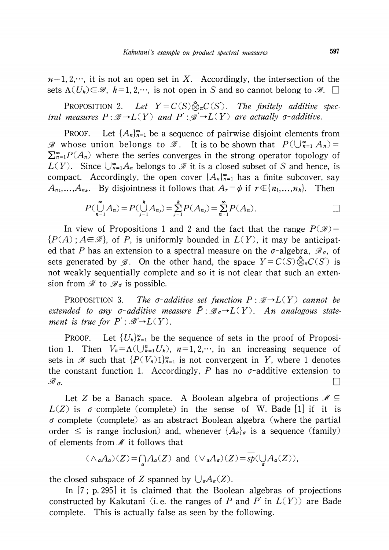$n=1,2,\dots$ , it is not an open set in X. Accordingly, the intersection of the sets  $\Lambda(U_{k})\in \mathscr{B}, k=1,2,\cdots$ , is not open in S and so cannot belong to  $\mathscr{B}.$   $\square$ 

<span id="page-4-0"></span>PROPOSITION 2. Let  $Y=C(S)\hat{\otimes}_{\pi}C(S')$ . The finitely additive spectral measures  $P:\mathcal{B}\rightarrow L ( Y)$  and  $P':\mathcal{B}'\rightarrow L ( Y)$  are actually  $\sigma$ -additive.

PROOF. Let  $\{A_{n}\}_{n=1}^{\infty}$  be a sequence of pairwise disjoint elements from  $\mathscr{B}$  whose union belongs to  $\mathscr{B}_{1}$ . It is to be shown that  $P(\bigcup_{n=1}^{\infty}A_{n})=$  $\sum^{\infty}_{n=1}P(A_{n})$  where the series converges in the strong operator topology of  $L(Y)$ . Since  $\bigcup_{n=1}^{\infty}A_{n}$  belongs to  $\mathscr{B}$  it is a closed subset of S and hence, is compact. Accordingly, the open cover  $\{A_{n}\}_{n=1}^{\infty}$  has a finite subcover, say  $A_{n_{1}},\ldots,A_{n_{k}}.$  By disjointness it follows that  $A_{r}=\phi$  if  $r\in\{n_{1},\ldots,n_{k}\}.$  Then

$$
P(\bigcup_{n=1}^{\infty} A_n) = P(\bigcup_{j=1}^{k} A_{n_j}) = \sum_{j=1}^{k} P(A_{n_j}) = \sum_{n=1}^{\infty} P(A_n).
$$

In view of Propositions 1 and 2 and the fact that the range  $P(\mathscr{B})=$  $\{P(A):A\in \mathscr{B}\}\$ , of P, is uniformly bounded in  $L(Y)$ , it may be anticipated that  $P$  has an extension to a spectral measure on the  $\sigma$ -algebra,  $\mathscr{B}_{\sigma}$ , of sets generated by  $\mathscr{B}.$  On the other hand, the space  $Y\!=\!C(S)\,\hat{\otimes}_{\pi}C(S')\,$  is not weakly sequentially complete and so it is not clear that such an extension from  $\mathscr{B}$  to  $\mathscr{B}_\sigma$  is possible.

<span id="page-4-1"></span>PROPOSITION 3. The  $\sigma$ -additive set function  $P:\mathcal{B}\rightarrow L ( Y)$  cannot be extended to any  $\sigma$ -additive measure  $\tilde{P}$ :  $\mathscr{B}_{\sigma}\rightarrow L(Y)$ . An analogous statement is true for  $P' : \mathscr{B}' \rightarrow L(Y)$ .

PROOF. Let  $\{ U_{k}\}_{k=1}^{\infty}$  be the sequence of sets in the proof of Proposition 1. Then  $V_{n} = \Lambda(\bigcup_{k=1}^{n}U_{k})$ ,  $n=1,2,\cdots$ , in an increasing sequence of sets in  $\mathscr{B}$  such that  $\{P(V_{n})1\}_{n=1}^{\infty}$  is not convergent in Y, where 1 denotes the constant function 1. Accordingly, P has no  $\sigma$ -additive extension to  $\mathscr{B}_{\sigma}$ . . The contract of the contract of the contract of the contract of the contract of the contract of the contract of the contract of the contract of the contract of the contract of the contract of the contract of the contrac

Let Z be a Banach space. A Boolean algebra of projections  $\mathcal{M}\subseteq$  $L(Z)$  is  $\sigma$ -complete (complete) in the sense of W. Bade [1] if it is  $\sigma$ -complete (complete) as an abstract Boolean algebra (where the partial order  $\leq$  is range inclusion) and, whenever  $\{A_{a}\}_{a}$  is a sequence (family) of elements from  $\mathcal{M}$  it follows that

$$
(\wedge_{\alpha}A_{\alpha})(Z) = \bigcap_{\alpha}A_{\alpha}(Z) \text{ and } (\vee_{\alpha}A_{\alpha})(Z) = \overline{sp}(\bigcup_{\alpha}A_{\alpha}(Z)),
$$

the closed subspace of Z spanned by  $\bigcup_{a}A_{a}(Z)$ .

In [7: p. 295] it is claimed that the Boolean algebras of projections constructed by Kakutani (i.e. the ranges of P and P' in  $L(Y)$ ) are Bade complete. This is actually false as seen by the following.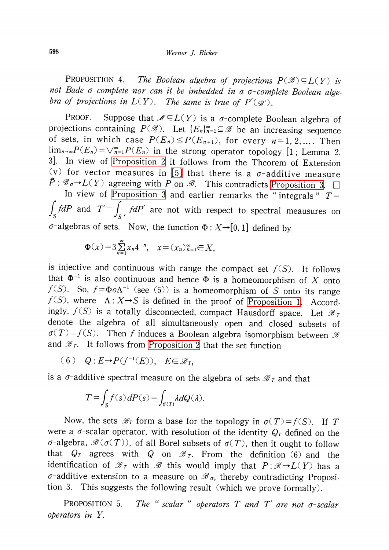PROPOSITION 4. The Boolean algebra of projections  $P(\mathscr{B})\subseteq L(Y)$  is not Bade  $\sigma$ -complete nor can it be imbedded in a  $\sigma$ -complete Boolean algebra of projections in  $L(Y)$ . The same is true of  $P'(\mathscr{B}')$ .

PROOF. Suppose that  $\mathcal{M}\subseteq L(Y)$  is a  $\sigma$ -complete Boolean algebra of projections containing  $P(\mathscr{B})$ . Let  $\{E_{n}\}_{n=1}^{\infty}\subseteq\mathscr{B}$  be an increasing sequence of sets, in which case  $P(E_{n}) \leq P(E_{n+1})$ , for every  $n=1,2, \ldots$ . Then  $\lim_{n\to\infty}P(E_{n})=\bigvee_{n=1}^{\infty}P(E_{n})$  in the strong operator topology [1; Lemma 2. 3]. In view of [Proposition](#page-4-0) <sup>2</sup> it follows from the Theorem of Extension (v) for vector measures in [\[5\]](#page-7-5) that there is a  $\sigma$ -additive measure  $\tilde{P} : \mathscr{B}_{\sigma}\rightarrow L(Y)$  agreeing with P on  $\mathscr{B}_{\sigma}$ . This contradicts [Proposition](#page-4-1) 3.  $\Box$ 

In view of [Proposition](#page-4-1) 3 and earlier remarks the "integrals"  $T\!=\!$  $\int_{S} f dP$  and  $T' = \int_{S} f dP'$  are not with respect to spectral meausures on  $\sigma$ -algebras of sets. Now, the function  $\Phi: X\rightarrow[0,1]$  defined by

$$
\Phi(x) = 3 \sum_{n=1}^{\infty} x_n 4^{-n}, \quad x = (x_n)_{n=1}^{\infty} \in X,
$$

is injective and continuous with range the compact set  $f(S)$ . It follows that  $\Phi^{-1}$  is also continuous and hence  $\Phi$  is a homeomorphism of X onto  $f(S)$ . So,  $f=\Phi o\Lambda^{-1}$  (see (5)) is a homeomorphism of S onto its range  $f(S)$ , where  $\Lambda: X \rightarrow S$  is defined in the proof of [Proposition](#page-3-0) 1. Accordingly,  $f(S)$  is a totally disconnected, compact Hausdorff space. Let  $\mathcal{B}_{T}$ denote the algebra of all simultaneously open and closed subsets of  $\sigma(T)=f(S)$ . Then f induces a Boolean algebra isomorphism between  $\mathcal{B}$ and  $\mathscr{B}_{\mathcal{T}}.$  It follows from [Proposition](#page-4-0) 2 that the set function

$$
(6) Q: E \to P(f^{-1}(E)), E \in \mathscr{B}_T,
$$

is a  $\sigma$ -additive spectral measure on the algebra of sets  $\mathcal{B}_{T}$  and that

$$
T = \int_{S} f(s) dP(s) = \int_{\sigma(T)} \lambda dQ(\lambda).
$$

Now, the sets  $\mathcal{B}_T$  form a base for the topology in  $\sigma(T)=f(S)$ . If T were a  $\sigma$ -scalar operator, with resolution of the identity  $Q_{T}$  defined on the  $\sigma$ -algebra,  $\mathscr{B}(\sigma(T))$ , of all Borel subsets of  $\sigma(T)$ , then it ought to follow that  $Q_{T}$  agrees with  $Q$  on  $\mathscr{B}_{T}$ . From the definition (6) and the identification of  $\mathcal{B}_{T}$  with  $\mathcal{B}$  this would imply that  $P:\mathcal{B}\rightarrow L(Y)$  has a  $\sigma^{-}$ additive extension to a measure on  $\mathscr{B}_{\sigma}$ , thereby contradicting Proposition 3. This suggests the following result (which we prove formally).

PROPOSITION 5. scalar " operators  $T$  and  $T'$  are not  $\sigma$ -scalar operators in Y.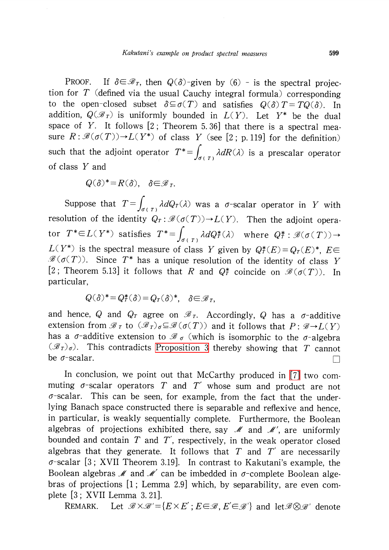PROOF. If  $\delta \in \mathcal{B}_{T}$ , then  $Q(\delta)$ -given by (6) - is the spectral projection for  $T$  (defined via the usual Cauchy integral formula) corresponding to the open-closed subset  $\delta\subseteq\sigma(T)$  and satisfies  $Q(\delta)T=TQ(\delta)$ . In addition,  $Q(\mathscr{B}_{T})$  is uniformly bounded in  $L(Y)$ . Let Y<sup>\*</sup> be the dual space of  $Y$ . It follows  $[2]$ ; Theorem 5.36] that there is a spectral measure  $R:\mathcal{B}(\sigma(T))\rightarrow L(Y^{*})$  of class Y (see [2; p. 119] for the definition) such that the adjoint operator  $T^{*} = \int_{\sigma(T)} \lambda dR(\lambda)$  is a prescalar operator of class Y and

$$
Q(\delta)^* = R(\delta), \quad \delta \in \mathcal{B}_T.
$$

Suppose that  $T = \int_{\sigma(T)} \lambda dQ_{T}(\lambda)$  was a  $\sigma$ -scalar operator in Y with resolution of the identity  $Q_{T} : \mathcal{B}(\sigma(T)) \to L(Y)$ . Then the adjoint operator  $T^{*} \in L (Y^{*})$  satisfies  $T^{*} = \int_{\sigma(T)} \lambda dQ_{T}^{*}(\lambda)$  where  $Q_{T}^{*} : \mathcal{B}(\sigma ( T)) \rightarrow$  $L(Y^{*})$  is the spectral measure of class  $Y$  given by  $Q_{T}^{*}(E)=Q_{T}(E)^{*},$   $E\in$  $\mathscr{B}(\sigma(T))$ . Since  $T^{*}$  has a unique resolution of the identity of class  $Y$ [2; Theorem 5.13] it follows that  $R$  and  $Q_{T}^{*}$  coincide on  $\mathscr{B}(\sigma(T))$ . In particular,

$$
Q(\delta)^* = Q_T^*(\delta) = Q_T(\delta)^*, \quad \delta \in \mathcal{B}_T,
$$

and hence,  $Q$  and  $Q_{T}$  agree on  $\mathscr{B}_{T}.$  Accordingly,  $Q$  has a  $\sigma$ -additive extension from  $\mathscr{B}_{T}$  to  $(\mathscr{B}_{T})_{\sigma}\subseteq \mathscr{B}(\sigma(T))$  and it follows that  $P:\mathscr{B}\rightarrow L(Y)$ has a  $\sigma$ -additive extension to  $\mathscr{B}_{\sigma}$  (which is isomorphic to the  $\sigma$ -algebra  $(\mathscr{F}_{T})_{\sigma}$ ). This contradicts [Proposition](#page-4-1) 3 thereby showing that  $T$  cannot be  $\sigma$ -scalar.

In conclusion, we point out that McCarthy produced in [\[7\]](#page-7-2) two commuting  $\sigma$ -scalar operators T and T' whose sum and product are not  $\sigma$ -scalar. This can be seen, for example, from the fact that the underlying Banach space constructed there is separable and reflexive and hence, in particular, is weakly sequentially complete. Furthermore, the Boolean algebras of projections exhibited there, say  $\mathcal{M}$  and  $\mathcal{M}'$ , are uniformly bounded and contain  $T$  and  $T'$ , respectively, in the weak operator closed algebras that they generate. It follows that  $T$  and  $T'$  are necessarily  $\sigma$ -scalar [3; XVII Theorem 3.19]. In contrast to Kakutani's example, the Boolean algebras  $\mathcal{M}$  and  $\mathcal{M}^{\prime}$  can be imbedded in  $\sigma$ -complete Boolean algebras of projections [1; Lemma 2.9] which, by separability, are even complete [3 ; XVII Lemma 3. 21].

REMARK. Let  $\mathcal{B}\times \mathcal{B}'=\{E\times E': E\in \mathcal{B}, E'\in \mathcal{B}'\}$  and let $\mathcal{B}\otimes \mathcal{B}'$  denote